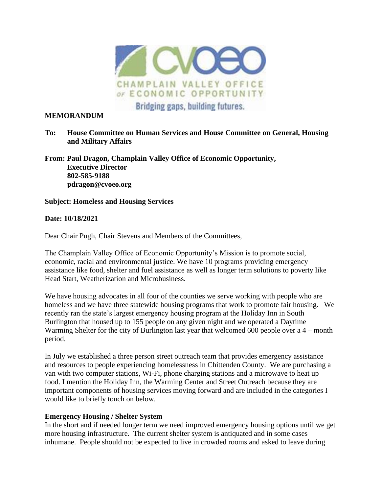

#### **MEMORANDUM**

**To: House Committee on Human Services and House Committee on General, Housing and Military Affairs** 

**From: Paul Dragon, Champlain Valley Office of Economic Opportunity, Executive Director 802-585-9188 pdragon@cvoeo.org**

### **Subject: Homeless and Housing Services**

#### **Date: 10/18/2021**

Dear Chair Pugh, Chair Stevens and Members of the Committees,

The Champlain Valley Office of Economic Opportunity's Mission is to promote social, economic, racial and environmental justice. We have 10 programs providing emergency assistance like food, shelter and fuel assistance as well as longer term solutions to poverty like Head Start, Weatherization and Microbusiness.

We have housing advocates in all four of the counties we serve working with people who are homeless and we have three statewide housing programs that work to promote fair housing. We recently ran the state's largest emergency housing program at the Holiday Inn in South Burlington that housed up to 155 people on any given night and we operated a Daytime Warming Shelter for the city of Burlington last year that welcomed 600 people over a 4 – month period.

In July we established a three person street outreach team that provides emergency assistance and resources to people experiencing homelessness in Chittenden County. We are purchasing a van with two computer stations, Wi-Fi, phone charging stations and a microwave to heat up food. I mention the Holiday Inn, the Warming Center and Street Outreach because they are important components of housing services moving forward and are included in the categories I would like to briefly touch on below.

### **Emergency Housing / Shelter System**

In the short and if needed longer term we need improved emergency housing options until we get more housing infrastructure. The current shelter system is antiquated and in some cases inhumane. People should not be expected to live in crowded rooms and asked to leave during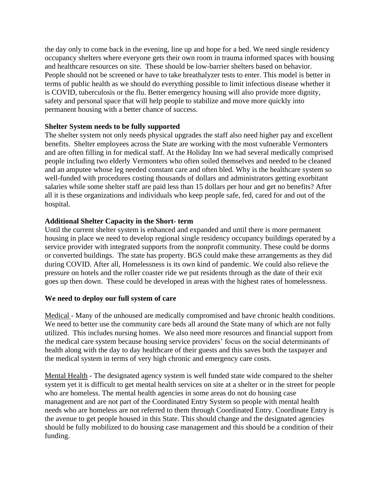the day only to come back in the evening, line up and hope for a bed. We need single residency occupancy shelters where everyone gets their own room in trauma informed spaces with housing and healthcare resources on site. These should be low-barrier shelters based on behavior. People should not be screened or have to take breathalyzer tests to enter. This model is better in terms of public health as we should do everything possible to limit infectious disease whether it is COVID, tuberculosis or the flu. Better emergency housing will also provide more dignity, safety and personal space that will help people to stabilize and move more quickly into permanent housing with a better chance of success.

## **Shelter System needs to be fully supported**

The shelter system not only needs physical upgrades the staff also need higher pay and excellent benefits. Shelter employees across the State are working with the most vulnerable Vermonters and are often filling in for medical staff. At the Holiday Inn we had several medically comprised people including two elderly Vermonters who often soiled themselves and needed to be cleaned and an amputee whose leg needed constant care and often bled. Why is the healthcare system so well-funded with procedures costing thousands of dollars and administrators getting exorbitant salaries while some shelter staff are paid less than 15 dollars per hour and get no benefits? After all it is these organizations and individuals who keep people safe, fed, cared for and out of the hospital.

## **Additional Shelter Capacity in the Short- term**

Until the current shelter system is enhanced and expanded and until there is more permanent housing in place we need to develop regional single residency occupancy buildings operated by a service provider with integrated supports from the nonprofit community. These could be dorms or converted buildings. The state has property. BGS could make these arrangements as they did during COVID. After all, Homelessness is its own kind of pandemic. We could also relieve the pressure on hotels and the roller coaster ride we put residents through as the date of their exit goes up then down. These could be developed in areas with the highest rates of homelessness.

### **We need to deploy our full system of care**

Medical - Many of the unhoused are medically compromised and have chronic health conditions. We need to better use the community care beds all around the State many of which are not fully utilized. This includes nursing homes. We also need more resources and financial support from the medical care system because housing service providers' focus on the social determinants of health along with the day to day healthcare of their guests and this saves both the taxpayer and the medical system in terms of very high chronic and emergency care costs.

Mental Health - The designated agency system is well funded state wide compared to the shelter system yet it is difficult to get mental health services on site at a shelter or in the street for people who are homeless. The mental health agencies in some areas do not do housing case management and are not part of the Coordinated Entry System so people with mental health needs who are homeless are not referred to them through Coordinated Entry. Coordinate Entry is the avenue to get people housed in this State. This should change and the designated agencies should be fully mobilized to do housing case management and this should be a condition of their funding.